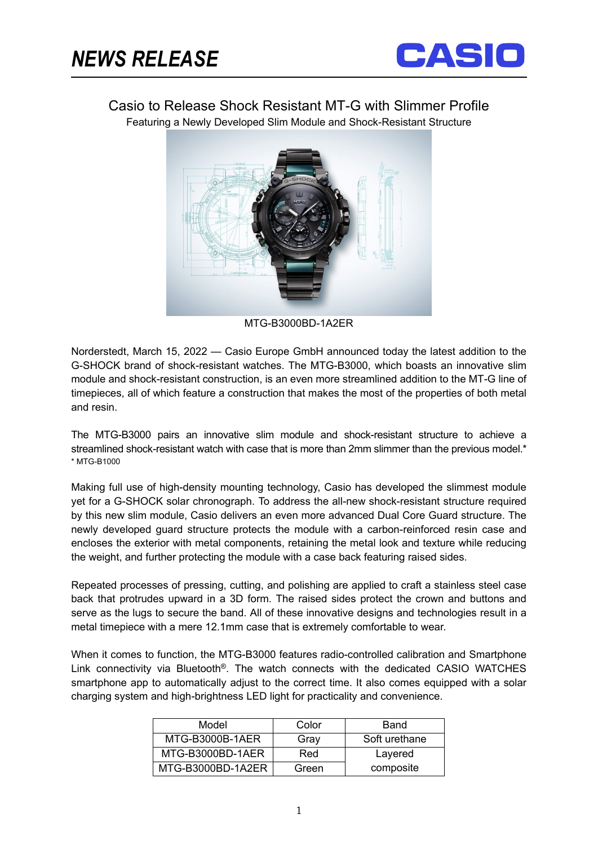֬֘



Casio to Release Shock Resistant MT-G with Slimmer Profile

Featuring a Newly Developed Slim Module and Shock-Resistant Structure



MTG-B3000BD-1A2ER

Norderstedt, March 15, 2022 — Casio Europe GmbH announced today the latest addition to the G-SHOCK brand of shock-resistant watches. The MTG-B3000, which boasts an innovative slim module and shock-resistant construction, is an even more streamlined addition to the MT-G line of timepieces, all of which feature a construction that makes the most of the properties of both metal and resin.

The MTG-B3000 pairs an innovative slim module and shock-resistant structure to achieve a streamlined shock-resistant watch with case that is more than 2mm slimmer than the previous model.\* \* MTG-B1000

Making full use of high-density mounting technology, Casio has developed the slimmest module yet for a G-SHOCK solar chronograph. To address the all-new shock-resistant structure required by this new slim module, Casio delivers an even more advanced Dual Core Guard structure. The newly developed guard structure protects the module with a carbon-reinforced resin case and encloses the exterior with metal components, retaining the metal look and texture while reducing the weight, and further protecting the module with a case back featuring raised sides.

Repeated processes of pressing, cutting, and polishing are applied to craft a stainless steel case back that protrudes upward in a 3D form. The raised sides protect the crown and buttons and serve as the lugs to secure the band. All of these innovative designs and technologies result in a metal timepiece with a mere 12.1mm case that is extremely comfortable to wear.

When it comes to function, the MTG-B3000 features radio-controlled calibration and Smartphone Link connectivity via Bluetooth®. The watch connects with the dedicated CASIO WATCHES smartphone app to automatically adjust to the correct time. It also comes equipped with a solar charging system and high-brightness LED light for practicality and convenience.

| Model             | Color | Band          |
|-------------------|-------|---------------|
| MTG-B3000B-1AER   | Gray  | Soft urethane |
| MTG-B3000BD-1AER  | Red   | Layered       |
| MTG-B3000BD-1A2ER | Green | composite     |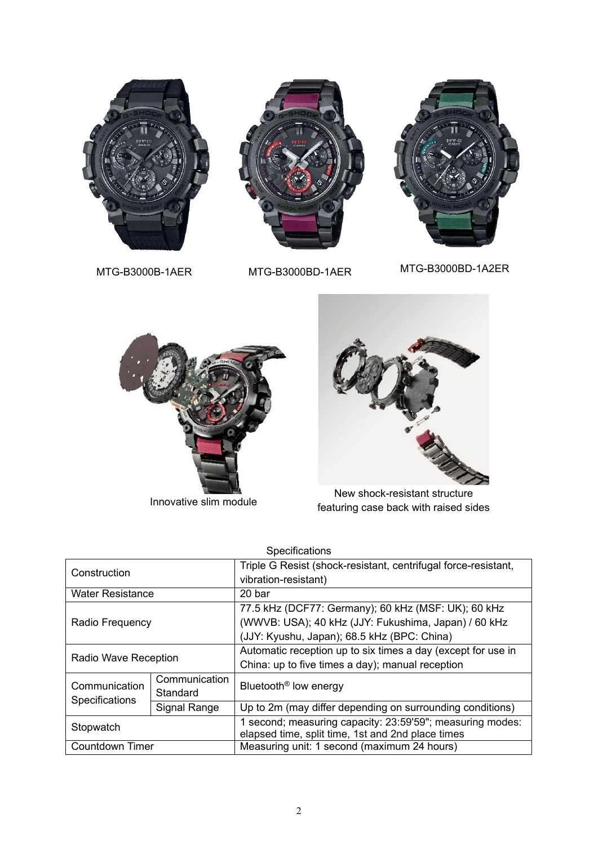

MTG-B3000B-1AER MTG-B3000BD-1AER MTG-B3000BD-1A2ER



Innovative slim module



New shock-resistant structure featuring case back with raised sides

| <b>Specifications</b>           |               |                                                                |  |
|---------------------------------|---------------|----------------------------------------------------------------|--|
| Construction                    |               | Triple G Resist (shock-resistant, centrifugal force-resistant, |  |
|                                 |               | vibration-resistant)                                           |  |
| <b>Water Resistance</b>         |               | 20 bar                                                         |  |
| Radio Frequency                 |               | 77.5 kHz (DCF77: Germany); 60 kHz (MSF: UK); 60 kHz            |  |
|                                 |               | (WWVB: USA); 40 kHz (JJY: Fukushima, Japan) / 60 kHz           |  |
|                                 |               | (JJY: Kyushu, Japan); 68.5 kHz (BPC: China)                    |  |
| <b>Radio Wave Reception</b>     |               | Automatic reception up to six times a day (except for use in   |  |
|                                 |               | China: up to five times a day); manual reception               |  |
| Communication<br>Specifications | Communication | Bluetooth <sup>®</sup> low energy                              |  |
|                                 | Standard      |                                                                |  |
|                                 | Signal Range  | Up to 2m (may differ depending on surrounding conditions)      |  |
| Stopwatch                       |               | 1 second; measuring capacity: 23:59'59"; measuring modes:      |  |
|                                 |               | elapsed time, split time, 1st and 2nd place times              |  |
| Countdown Timer                 |               | Measuring unit: 1 second (maximum 24 hours)                    |  |